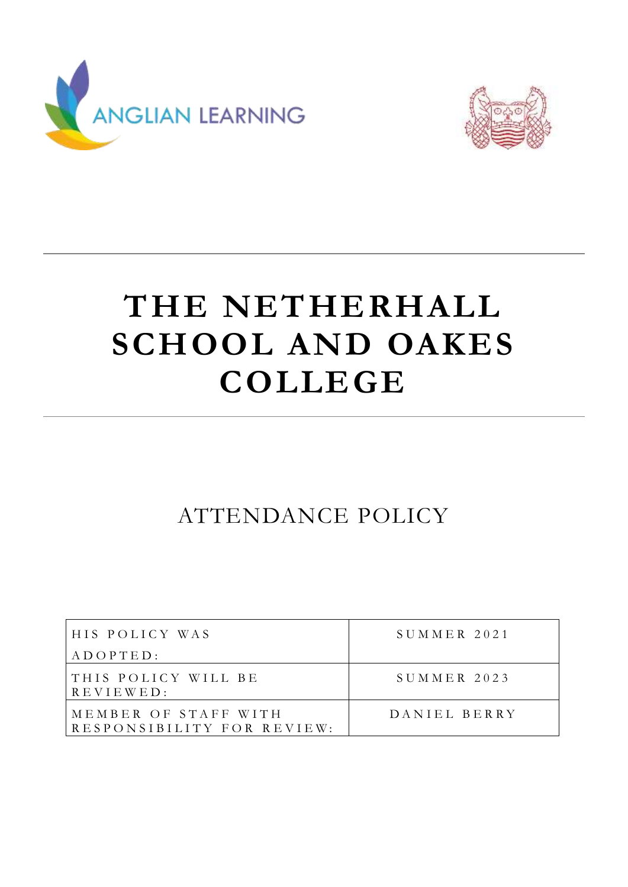



# **THE NETHERHALL SCHOOL AND OAKES COLLEGE**

## ATTENDANCE POLICY

| HIS POLICY WAS                                     | SUMMER 2021  |
|----------------------------------------------------|--------------|
| $A D O P T E D$ :                                  |              |
| THIS POLICY WILL BE<br>$R$ E V I E W E D :         | SUMMER 2023  |
| MEMBER OF STAFF WITH<br>RESPONSIBILITY FOR REVIEW: | DANIEL BERRY |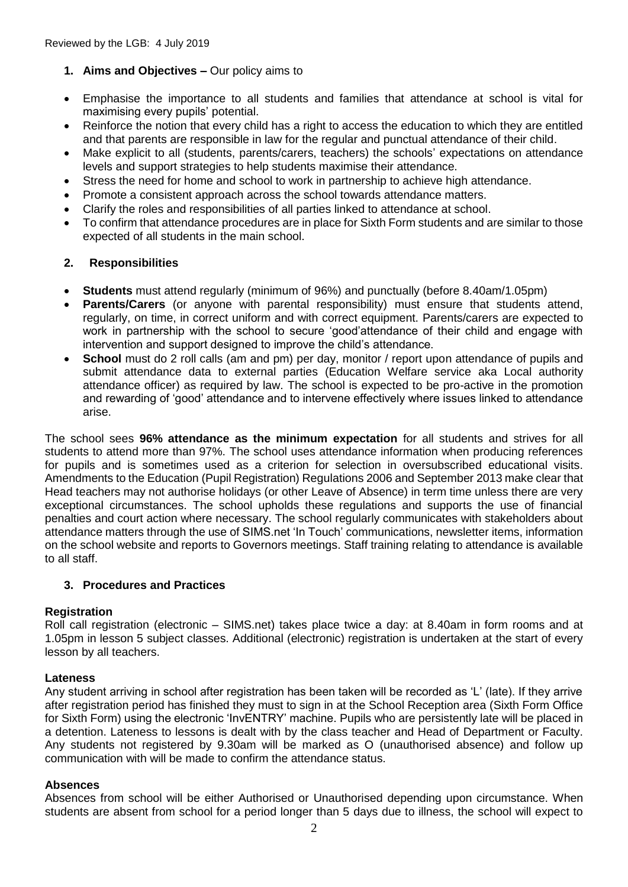- **1. Aims and Objectives –** Our policy aims to
- Emphasise the importance to all students and families that attendance at school is vital for maximising every pupils' potential.
- Reinforce the notion that every child has a right to access the education to which they are entitled and that parents are responsible in law for the regular and punctual attendance of their child.
- Make explicit to all (students, parents/carers, teachers) the schools' expectations on attendance levels and support strategies to help students maximise their attendance.
- Stress the need for home and school to work in partnership to achieve high attendance.
- Promote a consistent approach across the school towards attendance matters.
- Clarify the roles and responsibilities of all parties linked to attendance at school.
- To confirm that attendance procedures are in place for Sixth Form students and are similar to those expected of all students in the main school.

## **2. Responsibilities**

- **Students** must attend regularly (minimum of 96%) and punctually (before 8.40am/1.05pm)
- **Parents/Carers** (or anyone with parental responsibility) must ensure that students attend, regularly, on time, in correct uniform and with correct equipment. Parents/carers are expected to work in partnership with the school to secure 'good'attendance of their child and engage with intervention and support designed to improve the child's attendance.
- **School** must do 2 roll calls (am and pm) per day, monitor / report upon attendance of pupils and submit attendance data to external parties (Education Welfare service aka Local authority attendance officer) as required by law. The school is expected to be pro-active in the promotion and rewarding of 'good' attendance and to intervene effectively where issues linked to attendance arise.

The school sees **96% attendance as the minimum expectation** for all students and strives for all students to attend more than 97%. The school uses attendance information when producing references for pupils and is sometimes used as a criterion for selection in oversubscribed educational visits. Amendments to the Education (Pupil Registration) Regulations 2006 and September 2013 make clear that Head teachers may not authorise holidays (or other Leave of Absence) in term time unless there are very exceptional circumstances. The school upholds these regulations and supports the use of financial penalties and court action where necessary. The school regularly communicates with stakeholders about attendance matters through the use of SIMS.net 'In Touch' communications, newsletter items, information on the school website and reports to Governors meetings. Staff training relating to attendance is available to all staff.

## **3. Procedures and Practices**

## **Registration**

Roll call registration (electronic – SIMS.net) takes place twice a day: at 8.40am in form rooms and at 1.05pm in lesson 5 subject classes. Additional (electronic) registration is undertaken at the start of every lesson by all teachers.

#### **Lateness**

Any student arriving in school after registration has been taken will be recorded as 'L' (late). If they arrive after registration period has finished they must to sign in at the School Reception area (Sixth Form Office for Sixth Form) using the electronic 'InvENTRY' machine. Pupils who are persistently late will be placed in a detention. Lateness to lessons is dealt with by the class teacher and Head of Department or Faculty. Any students not registered by 9.30am will be marked as O (unauthorised absence) and follow up communication with will be made to confirm the attendance status.

## **Absences**

Absences from school will be either Authorised or Unauthorised depending upon circumstance. When students are absent from school for a period longer than 5 days due to illness, the school will expect to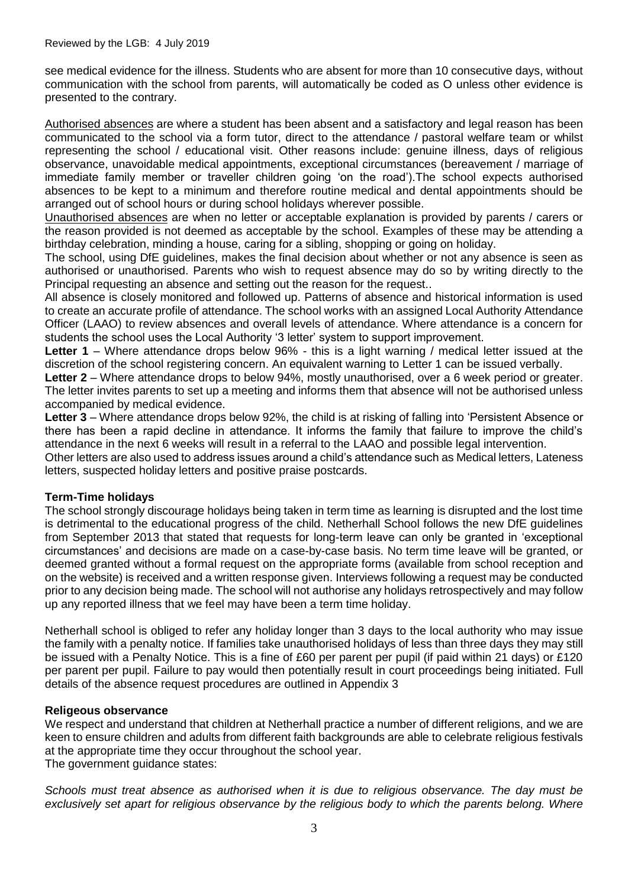see medical evidence for the illness. Students who are absent for more than 10 consecutive days, without communication with the school from parents, will automatically be coded as O unless other evidence is presented to the contrary.

Authorised absences are where a student has been absent and a satisfactory and legal reason has been communicated to the school via a form tutor, direct to the attendance / pastoral welfare team or whilst representing the school / educational visit. Other reasons include: genuine illness, days of religious observance, unavoidable medical appointments, exceptional circumstances (bereavement / marriage of immediate family member or traveller children going 'on the road').The school expects authorised absences to be kept to a minimum and therefore routine medical and dental appointments should be arranged out of school hours or during school holidays wherever possible.

Unauthorised absences are when no letter or acceptable explanation is provided by parents / carers or the reason provided is not deemed as acceptable by the school. Examples of these may be attending a birthday celebration, minding a house, caring for a sibling, shopping or going on holiday.

The school, using DfE guidelines, makes the final decision about whether or not any absence is seen as authorised or unauthorised. Parents who wish to request absence may do so by writing directly to the Principal requesting an absence and setting out the reason for the request..

All absence is closely monitored and followed up. Patterns of absence and historical information is used to create an accurate profile of attendance. The school works with an assigned Local Authority Attendance Officer (LAAO) to review absences and overall levels of attendance. Where attendance is a concern for students the school uses the Local Authority '3 letter' system to support improvement.

**Letter 1** – Where attendance drops below 96% - this is a light warning / medical letter issued at the discretion of the school registering concern. An equivalent warning to Letter 1 can be issued verbally.

**Letter 2** – Where attendance drops to below 94%, mostly unauthorised, over a 6 week period or greater. The letter invites parents to set up a meeting and informs them that absence will not be authorised unless accompanied by medical evidence.

**Letter 3** – Where attendance drops below 92%, the child is at risking of falling into 'Persistent Absence or there has been a rapid decline in attendance. It informs the family that failure to improve the child's attendance in the next 6 weeks will result in a referral to the LAAO and possible legal intervention.

Other letters are also used to address issues around a child's attendance such as Medical letters, Lateness letters, suspected holiday letters and positive praise postcards.

## **Term-Time holidays**

The school strongly discourage holidays being taken in term time as learning is disrupted and the lost time is detrimental to the educational progress of the child. Netherhall School follows the new DfE guidelines from September 2013 that stated that requests for long-term leave can only be granted in 'exceptional circumstances' and decisions are made on a case-by-case basis. No term time leave will be granted, or deemed granted without a formal request on the appropriate forms (available from school reception and on the website) is received and a written response given. Interviews following a request may be conducted prior to any decision being made. The school will not authorise any holidays retrospectively and may follow up any reported illness that we feel may have been a term time holiday.

Netherhall school is obliged to refer any holiday longer than 3 days to the local authority who may issue the family with a penalty notice. If families take unauthorised holidays of less than three days they may still be issued with a Penalty Notice. This is a fine of £60 per parent per pupil (if paid within 21 days) or £120 per parent per pupil. Failure to pay would then potentially result in court proceedings being initiated. Full details of the absence request procedures are outlined in Appendix 3

## **Religeous observance**

We respect and understand that children at Netherhall practice a number of different religions, and we are keen to ensure children and adults from different faith backgrounds are able to celebrate religious festivals at the appropriate time they occur throughout the school year. The government guidance states:

*Schools must treat absence as authorised when it is due to religious observance. The day must be exclusively set apart for religious observance by the religious body to which the parents belong. Where*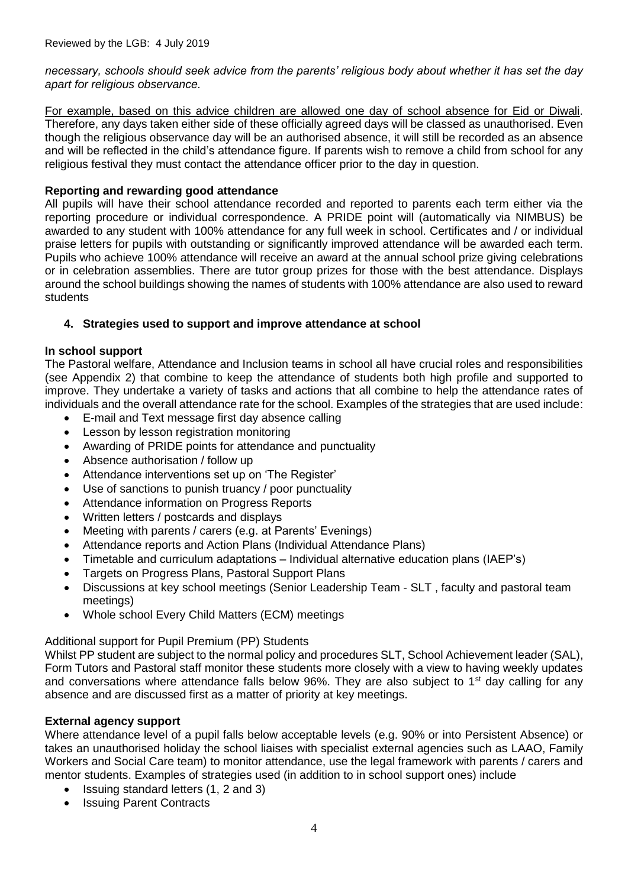*necessary, schools should seek advice from the parents' religious body about whether it has set the day apart for religious observance.*

For example, based on this advice children are allowed one day of school absence for Eid or Diwali. Therefore, any days taken either side of these officially agreed days will be classed as unauthorised. Even though the religious observance day will be an authorised absence, it will still be recorded as an absence and will be reflected in the child's attendance figure. If parents wish to remove a child from school for any religious festival they must contact the attendance officer prior to the day in question.

## **Reporting and rewarding good attendance**

All pupils will have their school attendance recorded and reported to parents each term either via the reporting procedure or individual correspondence. A PRIDE point will (automatically via NIMBUS) be awarded to any student with 100% attendance for any full week in school. Certificates and / or individual praise letters for pupils with outstanding or significantly improved attendance will be awarded each term. Pupils who achieve 100% attendance will receive an award at the annual school prize giving celebrations or in celebration assemblies. There are tutor group prizes for those with the best attendance. Displays around the school buildings showing the names of students with 100% attendance are also used to reward students

## **4. Strategies used to support and improve attendance at school**

## **In school support**

The Pastoral welfare, Attendance and Inclusion teams in school all have crucial roles and responsibilities (see Appendix 2) that combine to keep the attendance of students both high profile and supported to improve. They undertake a variety of tasks and actions that all combine to help the attendance rates of individuals and the overall attendance rate for the school. Examples of the strategies that are used include:

- E-mail and Text message first day absence calling
- Lesson by lesson registration monitoring
- Awarding of PRIDE points for attendance and punctuality
- Absence authorisation / follow up
- Attendance interventions set up on 'The Register'
- Use of sanctions to punish truancy / poor punctuality
- Attendance information on Progress Reports
- Written letters / postcards and displays
- Meeting with parents / carers (e.g. at Parents' Evenings)
- Attendance reports and Action Plans (Individual Attendance Plans)
- Timetable and curriculum adaptations Individual alternative education plans (IAEP's)
- Targets on Progress Plans, Pastoral Support Plans
- Discussions at key school meetings (Senior Leadership Team SLT , faculty and pastoral team meetings)
- Whole school Every Child Matters (ECM) meetings

## Additional support for Pupil Premium (PP) Students

Whilst PP student are subject to the normal policy and procedures SLT, School Achievement leader (SAL), Form Tutors and Pastoral staff monitor these students more closely with a view to having weekly updates and conversations where attendance falls below  $96\%$ . They are also subject to 1<sup>st</sup> day calling for any absence and are discussed first as a matter of priority at key meetings.

## **External agency support**

Where attendance level of a pupil falls below acceptable levels (e.g. 90% or into Persistent Absence) or takes an unauthorised holiday the school liaises with specialist external agencies such as LAAO, Family Workers and Social Care team) to monitor attendance, use the legal framework with parents / carers and mentor students. Examples of strategies used (in addition to in school support ones) include

- Issuing standard letters (1, 2 and 3)
- Issuing Parent Contracts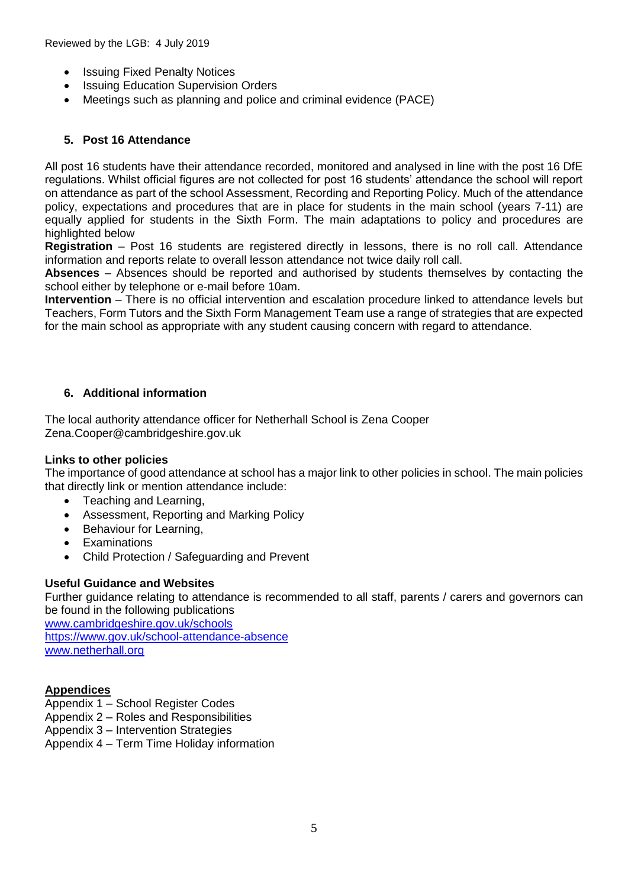- **Issuing Fixed Penalty Notices**
- **Issuing Education Supervision Orders**
- Meetings such as planning and police and criminal evidence (PACE)

## **5. Post 16 Attendance**

All post 16 students have their attendance recorded, monitored and analysed in line with the post 16 DfE regulations. Whilst official figures are not collected for post 16 students' attendance the school will report on attendance as part of the school Assessment, Recording and Reporting Policy. Much of the attendance policy, expectations and procedures that are in place for students in the main school (years 7-11) are equally applied for students in the Sixth Form. The main adaptations to policy and procedures are highlighted below

**Registration** – Post 16 students are registered directly in lessons, there is no roll call. Attendance information and reports relate to overall lesson attendance not twice daily roll call.

**Absences** – Absences should be reported and authorised by students themselves by contacting the school either by telephone or e-mail before 10am.

**Intervention** – There is no official intervention and escalation procedure linked to attendance levels but Teachers, Form Tutors and the Sixth Form Management Team use a range of strategies that are expected for the main school as appropriate with any student causing concern with regard to attendance.

## **6. Additional information**

The local authority attendance officer for Netherhall School is Zena Cooper Zena.Cooper@cambridgeshire.gov.uk

## **Links to other policies**

The importance of good attendance at school has a major link to other policies in school. The main policies that directly link or mention attendance include:

- Teaching and Learning,
- Assessment, Reporting and Marking Policy
- Behaviour for Learning,
- Examinations
- Child Protection / Safeguarding and Prevent

## **Useful Guidance and Websites**

Further guidance relating to attendance is recommended to all staff, parents / carers and governors can be found in the following publications [www.cambridgeshire.gov.uk/schools](http://www.cambridgeshire.gov.uk/schools) <https://www.gov.uk/school-attendance-absence> www.netherhall.org

## **Appendices**

- Appendix 1 School Register Codes
- Appendix 2 Roles and Responsibilities
- Appendix 3 Intervention Strategies
- Appendix 4 Term Time Holiday information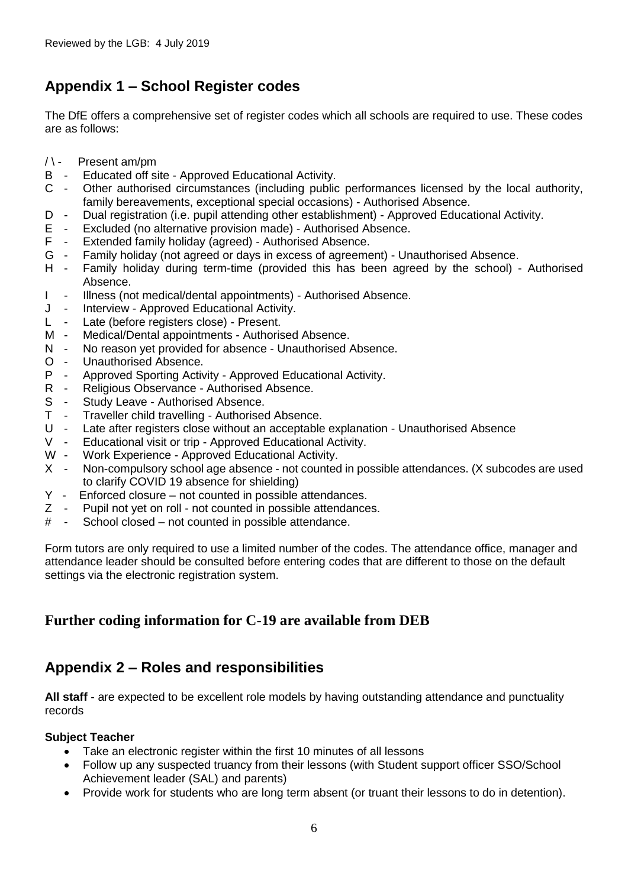## **Appendix 1 – School Register codes**

The DfE offers a comprehensive set of register codes which all schools are required to use. These codes are as follows:

- $/ \backslash$  Present am/pm
- B Educated off site Approved Educational Activity.
- C Other authorised circumstances (including public performances licensed by the local authority, family bereavements, exceptional special occasions) - Authorised Absence.
- D Dual registration (i.e. pupil attending other establishment) Approved Educational Activity.
- E Excluded (no alternative provision made) Authorised Absence.<br>F Extended family holiday (agreed) Authorised Absence.
- Extended family holiday (agreed) Authorised Absence.
- G Family holiday (not agreed or days in excess of agreement) Unauthorised Absence.
- H Family holiday during term-time (provided this has been agreed by the school) Authorised Absence.
- I Illness (not medical/dental appointments) Authorised Absence.
- J Interview Approved Educational Activity.
- L Late (before registers close) Present.
- M Medical/Dental appointments Authorised Absence.
- N No reason yet provided for absence Unauthorised Absence.
- O Unauthorised Absence.<br>P Approved Sporting Activ
- P Approved Sporting Activity Approved Educational Activity.<br>R Religious Observance Authorised Absence.
- Religious Observance Authorised Absence.
- S Study Leave Authorised Absence.
- T Traveller child travelling Authorised Absence.
- U Late after registers close without an acceptable explanation Unauthorised Absence
- V Educational visit or trip Approved Educational Activity.<br>W Work Experience Approved Educational Activity.
- Work Experience Approved Educational Activity.
- X Non-compulsory school age absence not counted in possible attendances. (X subcodes are used to clarify COVID 19 absence for shielding)
- Y Enforced closure not counted in possible attendances.
- Z Pupil not yet on roll not counted in possible attendances.
- # School closed not counted in possible attendance.

Form tutors are only required to use a limited number of the codes. The attendance office, manager and attendance leader should be consulted before entering codes that are different to those on the default settings via the electronic registration system.

## **Further coding information for C-19 are available from DEB**

## **Appendix 2 – Roles and responsibilities**

**All staff** - are expected to be excellent role models by having outstanding attendance and punctuality records

## **Subject Teacher**

- Take an electronic register within the first 10 minutes of all lessons
- Follow up any suspected truancy from their lessons (with Student support officer SSO/School Achievement leader (SAL) and parents)
- Provide work for students who are long term absent (or truant their lessons to do in detention).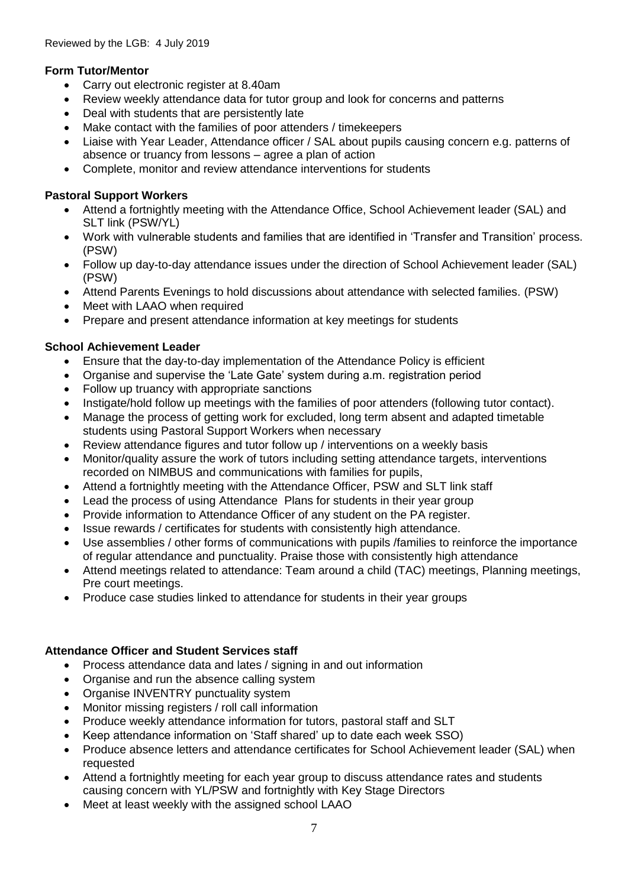## **Form Tutor/Mentor**

- Carry out electronic register at 8.40am
- Review weekly attendance data for tutor group and look for concerns and patterns
- Deal with students that are persistently late
- Make contact with the families of poor attenders / timekeepers
- Liaise with Year Leader, Attendance officer / SAL about pupils causing concern e.g. patterns of absence or truancy from lessons – agree a plan of action
- Complete, monitor and review attendance interventions for students

## **Pastoral Support Workers**

- Attend a fortnightly meeting with the Attendance Office, School Achievement leader (SAL) and SLT link (PSW/YL)
- Work with vulnerable students and families that are identified in 'Transfer and Transition' process. (PSW)
- Follow up day-to-day attendance issues under the direction of School Achievement leader (SAL) (PSW)
- Attend Parents Evenings to hold discussions about attendance with selected families. (PSW)
- Meet with LAAO when required
- Prepare and present attendance information at key meetings for students

## **School Achievement Leader**

- Ensure that the day-to-day implementation of the Attendance Policy is efficient
- Organise and supervise the 'Late Gate' system during a.m. registration period
- Follow up truancy with appropriate sanctions
- Instigate/hold follow up meetings with the families of poor attenders (following tutor contact).
- Manage the process of getting work for excluded, long term absent and adapted timetable students using Pastoral Support Workers when necessary
- Review attendance figures and tutor follow up / interventions on a weekly basis
- Monitor/quality assure the work of tutors including setting attendance targets, interventions recorded on NIMBUS and communications with families for pupils,
- Attend a fortnightly meeting with the Attendance Officer, PSW and SLT link staff
- Lead the process of using Attendance Plans for students in their year group
- Provide information to Attendance Officer of any student on the PA register.
- Issue rewards / certificates for students with consistently high attendance.
- Use assemblies / other forms of communications with pupils /families to reinforce the importance of regular attendance and punctuality. Praise those with consistently high attendance
- Attend meetings related to attendance: Team around a child (TAC) meetings, Planning meetings, Pre court meetings.
- Produce case studies linked to attendance for students in their year groups

## **Attendance Officer and Student Services staff**

- Process attendance data and lates / signing in and out information
- Organise and run the absence calling system
- Organise INVENTRY punctuality system
- Monitor missing registers / roll call information
- Produce weekly attendance information for tutors, pastoral staff and SLT
- Keep attendance information on 'Staff shared' up to date each week SSO)
- Produce absence letters and attendance certificates for School Achievement leader (SAL) when requested
- Attend a fortnightly meeting for each year group to discuss attendance rates and students causing concern with YL/PSW and fortnightly with Key Stage Directors
- Meet at least weekly with the assigned school LAAO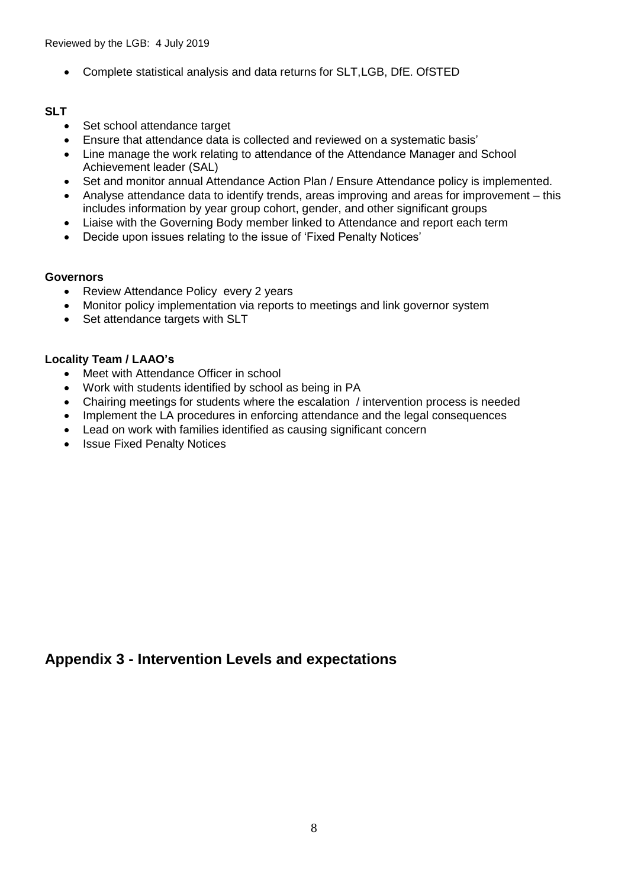• Complete statistical analysis and data returns for SLT,LGB, DfE. OfSTED

## **SLT**

- Set school attendance target
- Ensure that attendance data is collected and reviewed on a systematic basis'
- Line manage the work relating to attendance of the Attendance Manager and School Achievement leader (SAL)
- Set and monitor annual Attendance Action Plan / Ensure Attendance policy is implemented.
- Analyse attendance data to identify trends, areas improving and areas for improvement this includes information by year group cohort, gender, and other significant groups
- Liaise with the Governing Body member linked to Attendance and report each term
- Decide upon issues relating to the issue of 'Fixed Penalty Notices'

## **Governors**

- Review Attendance Policy every 2 years
- Monitor policy implementation via reports to meetings and link governor system
- Set attendance targets with SLT

## **Locality Team / LAAO's**

- Meet with Attendance Officer in school
- Work with students identified by school as being in PA
- Chairing meetings for students where the escalation / intervention process is needed
- Implement the LA procedures in enforcing attendance and the legal consequences
- Lead on work with families identified as causing significant concern
- Issue Fixed Penalty Notices

## **Appendix 3 - Intervention Levels and expectations**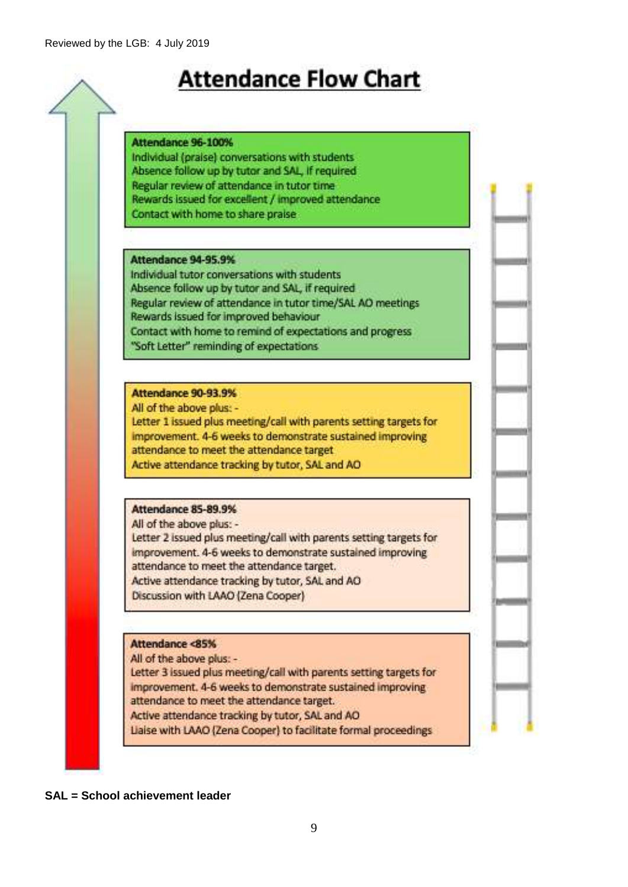## **Attendance Flow Chart**

#### Attendance 96-100%

Individual (praise) conversations with students Absence follow up by tutor and SAL, if required Regular review of attendance in tutor time Rewards issued for excellent / improved attendance Contact with home to share praise

Attendance 94-95.9%

Individual tutor conversations with students Absence follow up by tutor and SAL, if required Regular review of attendance in tutor time/SAL AO meetings Rewards issued for improved behaviour Contact with home to remind of expectations and progress "Soft Letter" reminding of expectations

Attendance 90-93.9%

All of the above plus: -

Letter 1 issued plus meeting/call with parents setting targets for improvement. 4-6 weeks to demonstrate sustained improving attendance to meet the attendance target Active attendance tracking by tutor, SAL and AO

## Attendance 85-89.9%

All of the above plus: -Letter 2 issued plus meeting/call with parents setting targets for improvement. 4-6 weeks to demonstrate sustained improving attendance to meet the attendance target. Active attendance tracking by tutor, SAL and AO Discussion with LAAO (Zena Cooper)

## **Attendance <85%**

All of the above plus: -Letter 3 issued plus meeting/call with parents setting targets for improvement. 4-6 weeks to demonstrate sustained improving attendance to meet the attendance target. Active attendance tracking by tutor, SAL and AO Liaise with LAAO (Zena Cooper) to facilitate formal proceedings

**SAL = School achievement leader**